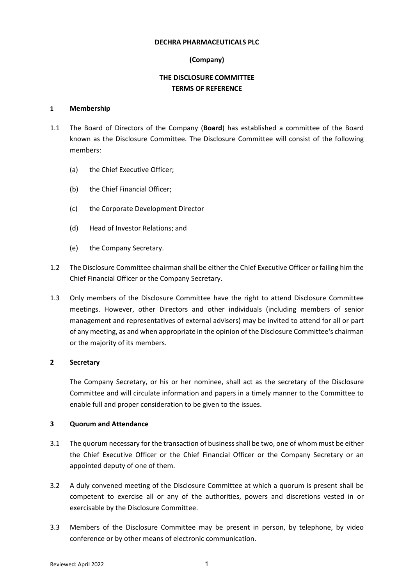#### **DECHRA PHARMACEUTICALS PLC**

# **(Company)**

# **THE DISCLOSURE COMMITTEE TERMS OF REFERENCE**

#### **1 Membership**

- 1.1 The Board of Directors of the Company (**Board**) has established a committee of the Board known as the Disclosure Committee. The Disclosure Committee will consist of the following members:
	- (a) the Chief Executive Officer;
	- (b) the Chief Financial Officer;
	- (c) the Corporate Development Director
	- (d) Head of Investor Relations; and
	- (e) the Company Secretary.
- 1.2 The Disclosure Committee chairman shall be either the Chief Executive Officer or failing him the Chief Financial Officer or the Company Secretary.
- 1.3 Only members of the Disclosure Committee have the right to attend Disclosure Committee meetings. However, other Directors and other individuals (including members of senior management and representatives of external advisers) may be invited to attend for all or part of any meeting, as and when appropriate in the opinion of the Disclosure Committee's chairman or the majority of its members.

#### **2 Secretary**

The Company Secretary, or his or her nominee, shall act as the secretary of the Disclosure Committee and will circulate information and papers in a timely manner to the Committee to enable full and proper consideration to be given to the issues.

#### **3 Quorum and Attendance**

- 3.1 The quorum necessary for the transaction of business shall be two, one of whom must be either the Chief Executive Officer or the Chief Financial Officer or the Company Secretary or an appointed deputy of one of them.
- 3.2 A duly convened meeting of the Disclosure Committee at which a quorum is present shall be competent to exercise all or any of the authorities, powers and discretions vested in or exercisable by the Disclosure Committee.
- 3.3 Members of the Disclosure Committee may be present in person, by telephone, by video conference or by other means of electronic communication.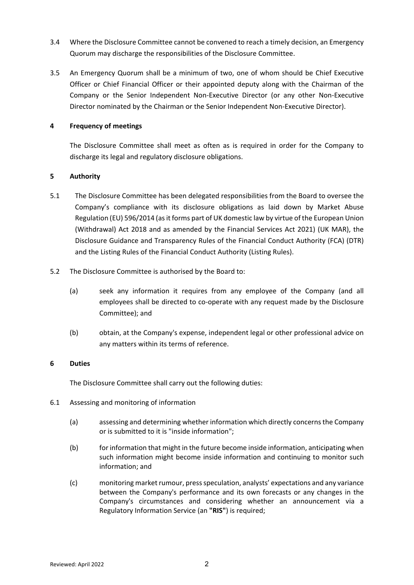- 3.4 Where the Disclosure Committee cannot be convened to reach a timely decision, an Emergency Quorum may discharge the responsibilities of the Disclosure Committee.
- 3.5 An Emergency Quorum shall be a minimum of two, one of whom should be Chief Executive Officer or Chief Financial Officer or their appointed deputy along with the Chairman of the Company or the Senior Independent Non-Executive Director (or any other Non-Executive Director nominated by the Chairman or the Senior Independent Non-Executive Director).

# **4 Frequency of meetings**

The Disclosure Committee shall meet as often as is required in order for the Company to discharge its legal and regulatory disclosure obligations.

# **5 Authority**

- 5.1 The Disclosure Committee has been delegated responsibilities from the Board to oversee the Company's compliance with its disclosure obligations as laid down by Market Abuse Regulation (EU) 596/2014 (as it forms part of UK domestic law by virtue of the European Union (Withdrawal) Act 2018 and as amended by the Financial Services Act 2021) (UK MAR), the Disclosure Guidance and Transparency Rules of the Financial Conduct Authority (FCA) (DTR) and the Listing Rules of the Financial Conduct Authority (Listing Rules).
- 5.2 The Disclosure Committee is authorised by the Board to:
	- (a) seek any information it requires from any employee of the Company (and all employees shall be directed to co-operate with any request made by the Disclosure Committee); and
	- (b) obtain, at the Company's expense, independent legal or other professional advice on any matters within its terms of reference.

# **6 Duties**

The Disclosure Committee shall carry out the following duties:

- 6.1 Assessing and monitoring of information
	- (a) assessing and determining whether information which directly concerns the Company or is submitted to it is "inside information";
	- (b) for information that might in the future become inside information, anticipating when such information might become inside information and continuing to monitor such information; and
	- (c) monitoring market rumour, press speculation, analysts' expectations and any variance between the Company's performance and its own forecasts or any changes in the Company's circumstances and considering whether an announcement via a Regulatory Information Service (an **"RIS"**) is required;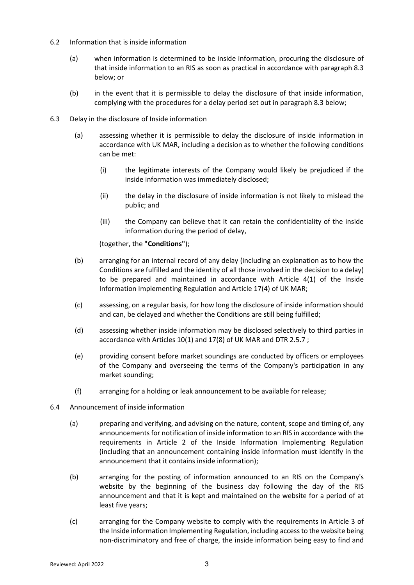- 6.2 Information that is inside information
	- (a) when information is determined to be inside information, procuring the disclosure of that inside information to an RIS as soon as practical in accordance with paragraph 8.3 below; or
	- (b) in the event that it is permissible to delay the disclosure of that inside information, complying with the procedures for a delay period set out in paragraph 8.3 below;
- 6.3 Delay in the disclosure of Inside information
	- (a) assessing whether it is permissible to delay the disclosure of inside information in accordance with UK MAR, including a decision as to whether the following conditions can be met:
		- (i) the legitimate interests of the Company would likely be prejudiced if the inside information was immediately disclosed;
		- (ii) the delay in the disclosure of inside information is not likely to mislead the public; and
		- (iii) the Company can believe that it can retain the confidentiality of the inside information during the period of delay,

(together, the **"Conditions"**);

- (b) arranging for an internal record of any delay (including an explanation as to how the Conditions are fulfilled and the identity of all those involved in the decision to a delay) to be prepared and maintained in accordance with Article 4(1) of the Inside Information Implementing Regulation and Article 17(4) of UK MAR;
- (c) assessing, on a regular basis, for how long the disclosure of inside information should and can, be delayed and whether the Conditions are still being fulfilled;
- (d) assessing whether inside information may be disclosed selectively to third parties in accordance with Articles 10(1) and 17(8) of UK MAR and DTR 2.5.7 ;
- (e) providing consent before market soundings are conducted by officers or employees of the Company and overseeing the terms of the Company's participation in any market sounding;
- (f) arranging for a holding or leak announcement to be available for release;
- 6.4 Announcement of inside information
	- (a) preparing and verifying, and advising on the nature, content, scope and timing of, any announcements for notification of inside information to an RIS in accordance with the requirements in Article 2 of the Inside Information Implementing Regulation (including that an announcement containing inside information must identify in the announcement that it contains inside information);
	- (b) arranging for the posting of information announced to an RIS on the Company's website by the beginning of the business day following the day of the RIS announcement and that it is kept and maintained on the website for a period of at least five years;
	- (c) arranging for the Company website to comply with the requirements in Article 3 of the Inside information Implementing Regulation, including access to the website being non-discriminatory and free of charge, the inside information being easy to find and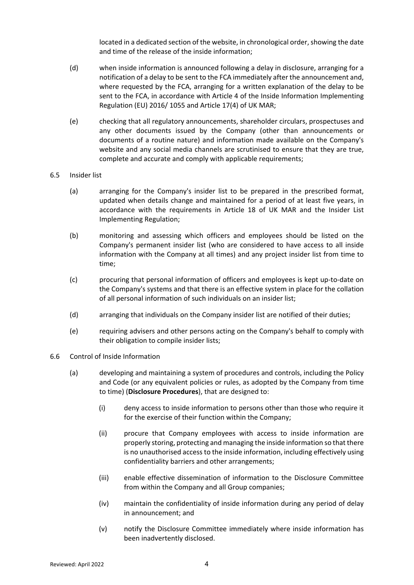located in a dedicated section of the website, in chronological order, showing the date and time of the release of the inside information;

- (d) when inside information is announced following a delay in disclosure, arranging for a notification of a delay to be sent to the FCA immediately after the announcement and, where requested by the FCA, arranging for a written explanation of the delay to be sent to the FCA, in accordance with Article 4 of the Inside Information Implementing Regulation (EU) 2016/ 1055 and Article 17(4) of UK MAR;
- (e) checking that all regulatory announcements, shareholder circulars, prospectuses and any other documents issued by the Company (other than announcements or documents of a routine nature) and information made available on the Company's website and any social media channels are scrutinised to ensure that they are true, complete and accurate and comply with applicable requirements;
- 6.5 Insider list
	- (a) arranging for the Company's insider list to be prepared in the prescribed format, updated when details change and maintained for a period of at least five years, in accordance with the requirements in Article 18 of UK MAR and the Insider List Implementing Regulation;
	- (b) monitoring and assessing which officers and employees should be listed on the Company's permanent insider list (who are considered to have access to all inside information with the Company at all times) and any project insider list from time to time;
	- (c) procuring that personal information of officers and employees is kept up-to-date on the Company's systems and that there is an effective system in place for the collation of all personal information of such individuals on an insider list;
	- (d) arranging that individuals on the Company insider list are notified of their duties;
	- (e) requiring advisers and other persons acting on the Company's behalf to comply with their obligation to compile insider lists;
- 6.6 Control of Inside Information
	- (a) developing and maintaining a system of procedures and controls, including the Policy and Code (or any equivalent policies or rules, as adopted by the Company from time to time) (**Disclosure Procedures**), that are designed to:
		- (i) deny access to inside information to persons other than those who require it for the exercise of their function within the Company;
		- (ii) procure that Company employees with access to inside information are properly storing, protecting and managing the inside information so that there is no unauthorised access to the inside information, including effectively using confidentiality barriers and other arrangements;
		- (iii) enable effective dissemination of information to the Disclosure Committee from within the Company and all Group companies;
		- (iv) maintain the confidentiality of inside information during any period of delay in announcement; and
		- (v) notify the Disclosure Committee immediately where inside information has been inadvertently disclosed.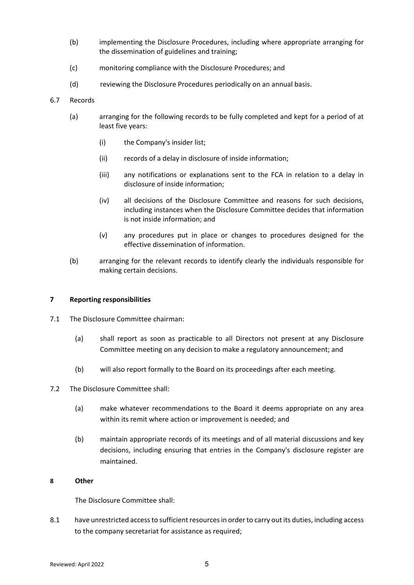- (b) implementing the Disclosure Procedures, including where appropriate arranging for the dissemination of guidelines and training;
- (c) monitoring compliance with the Disclosure Procedures; and
- (d) reviewing the Disclosure Procedures periodically on an annual basis.
- 6.7 Records
	- (a) arranging for the following records to be fully completed and kept for a period of at least five years:
		- (i) the Company's insider list;
		- (ii) records of a delay in disclosure of inside information;
		- (iii) any notifications or explanations sent to the FCA in relation to a delay in disclosure of inside information;
		- (iv) all decisions of the Disclosure Committee and reasons for such decisions, including instances when the Disclosure Committee decides that information is not inside information; and
		- (v) any procedures put in place or changes to procedures designed for the effective dissemination of information.
	- (b) arranging for the relevant records to identify clearly the individuals responsible for making certain decisions.

#### **7 Reporting responsibilities**

- 7.1 The Disclosure Committee chairman:
	- (a) shall report as soon as practicable to all Directors not present at any Disclosure Committee meeting on any decision to make a regulatory announcement; and
	- (b) will also report formally to the Board on its proceedings after each meeting.
- 7.2 The Disclosure Committee shall:
	- (a) make whatever recommendations to the Board it deems appropriate on any area within its remit where action or improvement is needed; and
	- (b) maintain appropriate records of its meetings and of all material discussions and key decisions, including ensuring that entries in the Company's disclosure register are maintained.

# **8 Other**

The Disclosure Committee shall:

8.1 have unrestricted access to sufficient resources in order to carry out its duties, including access to the company secretariat for assistance as required;